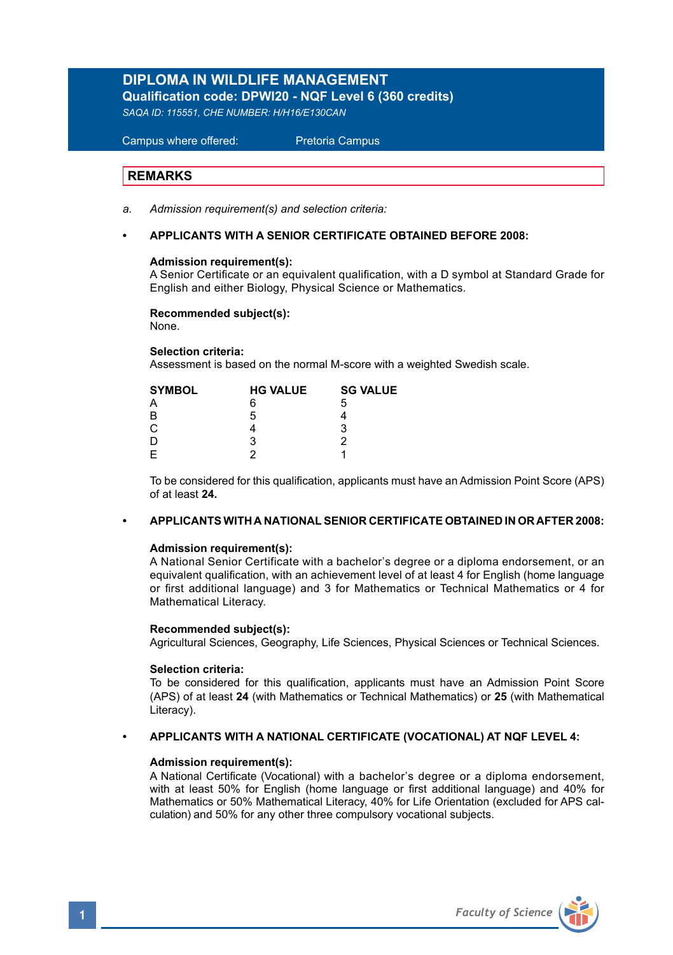# **DIPLOMA IN WILDLIFE MANAGEMENT Qualification code: DPWI20 - NQF Level 6 (360 credits)**

*SAQA ID: 115551, CHE NUMBER: H/H16/E130CAN*

# Campus where offered: Pretoria Campus

### **REMARKS**

- *a. Admission requirement(s) and selection criteria:*
- **APPLICANTS WITH A SENIOR CERTIFICATE OBTAINED BEFORE 2008:**

### **Admission requirement(s):**

A Senior Certificate or an equivalent qualification, with a D symbol at Standard Grade for English and either Biology, Physical Science or Mathematics.

### **Recommended subject(s):**

None.

**Selection criteria:**

Assessment is based on the normal M-score with a weighted Swedish scale.

| <b>SYMBOL</b> | <b>HG VALUE</b> | <b>SG VALUE</b> |  |
|---------------|-----------------|-----------------|--|
| А             | 6               | 5               |  |
| B             | 5               |                 |  |
| С             |                 | з               |  |
| D             | з               |                 |  |
| E             |                 |                 |  |
|               |                 |                 |  |

To be considered for this qualification, applicants must have an Admission Point Score (APS) of at least **24.**

## **• APPLICANTS WITH A NATIONAL SENIOR CERTIFICATE OBTAINED IN OR AFTER 2008:**

### **Admission requirement(s):**

 A National Senior Certificate with a bachelor's degree or a diploma endorsement, or an equivalent qualification, with an achievement level of at least 4 for English (home language or first additional language) and 3 for Mathematics or Technical Mathematics or 4 for Mathematical Literacy.

### **Recommended subject(s):**

Agricultural Sciences, Geography, Life Sciences, Physical Sciences or Technical Sciences.

### **Selection criteria:**

To be considered for this qualification, applicants must have an Admission Point Score (APS) of at least **24** (with Mathematics or Technical Mathematics) or **25** (with Mathematical Literacy).

### **• APPLICANTS WITH A NATIONAL CERTIFICATE (VOCATIONAL) AT NQF LEVEL 4:**

### **Admission requirement(s):**

A National Certificate (Vocational) with a bachelor's degree or a diploma endorsement, with at least 50% for English (home language or first additional language) and 40% for Mathematics or 50% Mathematical Literacy, 40% for Life Orientation (excluded for APS calculation) and 50% for any other three compulsory vocational subjects.

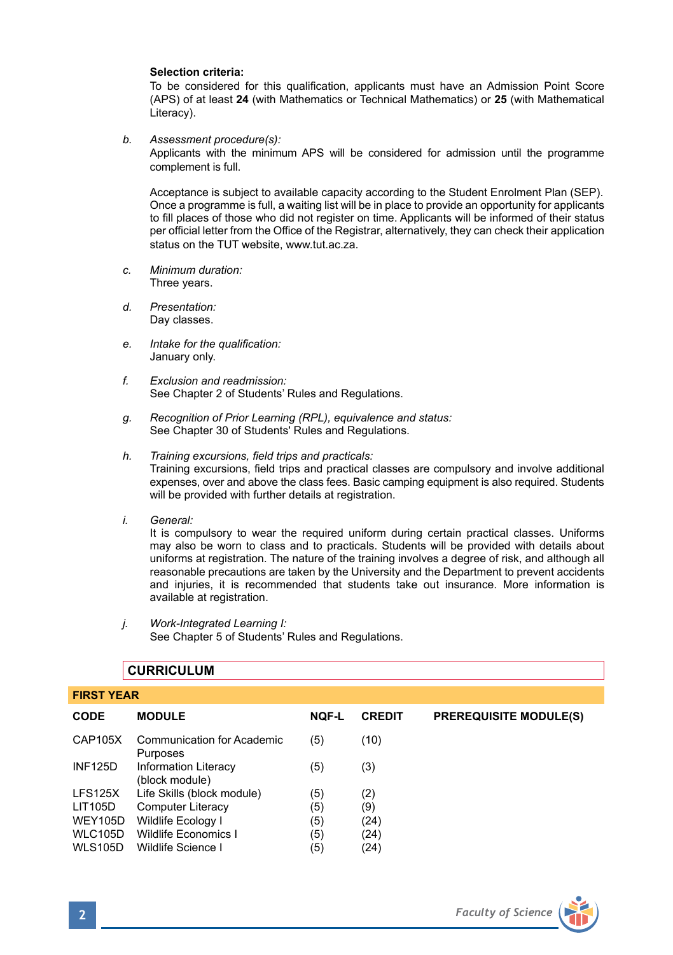### **Selection criteria:**

To be considered for this qualification, applicants must have an Admission Point Score (APS) of at least **24** (with Mathematics or Technical Mathematics) or **25** (with Mathematical Literacy).

*b. Assessment procedure(s):* 

Applicants with the minimum APS will be considered for admission until the programme complement is full.

 Acceptance is subject to available capacity according to the Student Enrolment Plan (SEP). Once a programme is full, a waiting list will be in place to provide an opportunity for applicants to fill places of those who did not register on time. Applicants will be informed of their status per official letter from the Office of the Registrar, alternatively, they can check their application status on the TUT website, www.tut.ac.za.

- *c. Minimum duration:* Three years.
- *d. Presentation:* Day classes.
- *e. Intake for the qualification:* January only.
- *f. Exclusion and readmission:* See Chapter 2 of Students' Rules and Regulations.
- *g. Recognition of Prior Learning (RPL), equivalence and status:* See Chapter 30 of Students' Rules and Regulations.
- *h. Training excursions, field trips and practicals:*  Training excursions, field trips and practical classes are compulsory and involve additional expenses, over and above the class fees. Basic camping equipment is also required. Students will be provided with further details at registration.
- *i. General:*

It is compulsory to wear the required uniform during certain practical classes. Uniforms may also be worn to class and to practicals. Students will be provided with details about uniforms at registration. The nature of the training involves a degree of risk, and although all reasonable precautions are taken by the University and the Department to prevent accidents and injuries, it is recommended that students take out insurance. More information is available at registration.

*j. Work-Integrated Learning I:* See Chapter 5 of Students' Rules and Regulations.

| <b>FIRST YEAR</b> |                                               |              |               |                               |  |  |
|-------------------|-----------------------------------------------|--------------|---------------|-------------------------------|--|--|
| <b>CODE</b>       | <b>MODULE</b>                                 | <b>NQF-L</b> | <b>CREDIT</b> | <b>PREREQUISITE MODULE(S)</b> |  |  |
| CAP105X           | Communication for Academic<br>Purposes        | (5)          | (10)          |                               |  |  |
| <b>INF125D</b>    | <b>Information Literacy</b><br>(block module) | (5)          | (3)           |                               |  |  |
| <b>LFS125X</b>    | Life Skills (block module)                    | (5)          | (2)           |                               |  |  |
| LIT105D           | <b>Computer Literacy</b>                      | (5)          | (9)           |                               |  |  |
| <b>WEY105D</b>    | Wildlife Ecology I                            | (5)          | (24)          |                               |  |  |
| <b>WLC105D</b>    | Wildlife Economics I                          | (5)          | (24)          |                               |  |  |
| <b>WLS105D</b>    | Wildlife Science I                            | (5)          | (24)          |                               |  |  |
|                   |                                               |              |               |                               |  |  |
|                   |                                               |              |               |                               |  |  |

# **CURRICULUM**

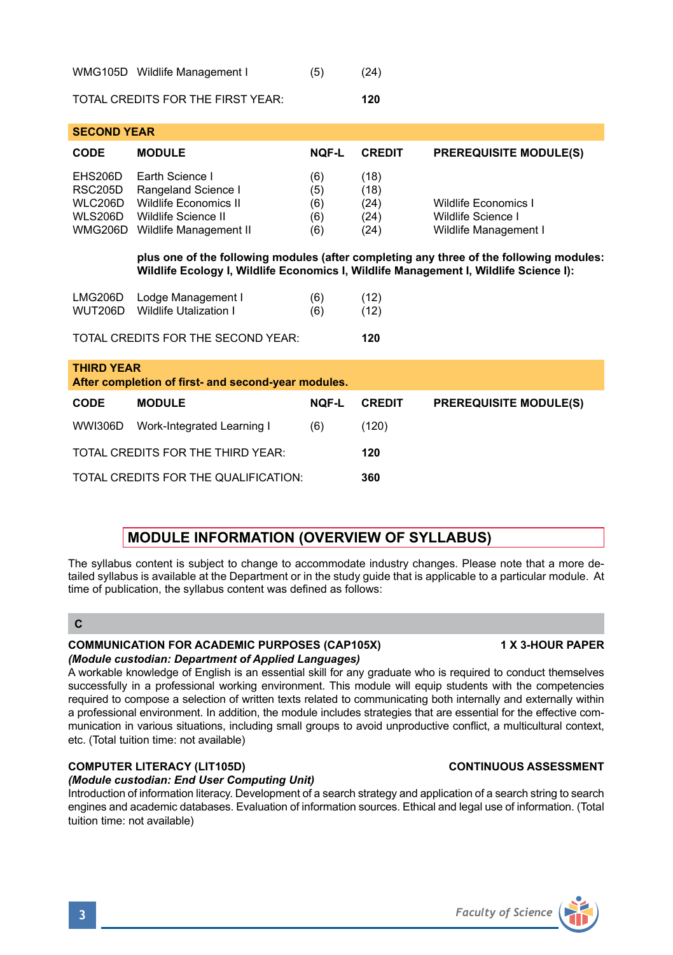| CODE                                                                                                                                                                                                                                                                                              | <b>MODULE</b>                                                                                                                                                                    | NOF-L                           | <b>CREDIT</b>                        | <b>PREREQUISITE MODULE(S)</b>                                       |  |  |  |  |  |
|---------------------------------------------------------------------------------------------------------------------------------------------------------------------------------------------------------------------------------------------------------------------------------------------------|----------------------------------------------------------------------------------------------------------------------------------------------------------------------------------|---------------------------------|--------------------------------------|---------------------------------------------------------------------|--|--|--|--|--|
| EHS206D<br>RSC205D<br><b>WLC206D</b><br><b>WLS206D</b>                                                                                                                                                                                                                                            | Earth Science I<br>Rangeland Science I<br>Wildlife Economics II<br>Wildlife Science II<br>WMG206D Wildlife Management II                                                         | (6)<br>(5)<br>(6)<br>(6)<br>(6) | (18)<br>(18)<br>(24)<br>(24)<br>(24) | Wildlife Economics I<br>Wildlife Science I<br>Wildlife Management I |  |  |  |  |  |
|                                                                                                                                                                                                                                                                                                   | plus one of the following modules (after completing any three of the following modules:<br>Wildlife Ecology I, Wildlife Economics I, Wildlife Management I, Wildlife Science I): |                                 |                                      |                                                                     |  |  |  |  |  |
| LMG206D<br><b>WUT206D</b>                                                                                                                                                                                                                                                                         | Lodge Management I<br><b>Wildlife Utalization I</b>                                                                                                                              | (6)<br>(6)                      | (12)<br>(12)                         |                                                                     |  |  |  |  |  |
|                                                                                                                                                                                                                                                                                                   | TOTAL CREDITS FOR THE SECOND YEAR:                                                                                                                                               |                                 | 120                                  |                                                                     |  |  |  |  |  |
| <b>THIRD YEAR</b><br>After completion of first- and second-year modules.                                                                                                                                                                                                                          |                                                                                                                                                                                  |                                 |                                      |                                                                     |  |  |  |  |  |
| CODE                                                                                                                                                                                                                                                                                              | <b>MODULE</b>                                                                                                                                                                    | <b>NOF-L</b>                    | <b>CREDIT</b>                        | <b>PREREQUISITE MODULE(S)</b>                                       |  |  |  |  |  |
| <b>WWI306D</b>                                                                                                                                                                                                                                                                                    | Work-Integrated Learning I                                                                                                                                                       | (6)                             | (120)                                |                                                                     |  |  |  |  |  |
|                                                                                                                                                                                                                                                                                                   |                                                                                                                                                                                  |                                 |                                      |                                                                     |  |  |  |  |  |
|                                                                                                                                                                                                                                                                                                   | TOTAL CREDITS FOR THE THIRD YEAR:                                                                                                                                                |                                 | 120                                  |                                                                     |  |  |  |  |  |
|                                                                                                                                                                                                                                                                                                   | TOTAL CREDITS FOR THE QUALIFICATION:                                                                                                                                             |                                 | 360                                  |                                                                     |  |  |  |  |  |
|                                                                                                                                                                                                                                                                                                   |                                                                                                                                                                                  |                                 |                                      |                                                                     |  |  |  |  |  |
| MODULE INFORMATION (OVERVIEW OF SYLLABUS)                                                                                                                                                                                                                                                         |                                                                                                                                                                                  |                                 |                                      |                                                                     |  |  |  |  |  |
| The syllabus content is subject to change to accommodate industry changes. Please note that a more de-<br>tailed syllabus is available at the Department or in the study guide that is applicable to a particular module. At<br>time of publication, the syllabus content was defined as follows: |                                                                                                                                                                                  |                                 |                                      |                                                                     |  |  |  |  |  |
| $\mathbf c$                                                                                                                                                                                                                                                                                       |                                                                                                                                                                                  |                                 |                                      |                                                                     |  |  |  |  |  |
| <b>COMMUNICATION FOR ACADEMIC PURPOSES (CAP105X)</b><br><b>1 X 3-HOUR PAPER</b><br>(Module custodian: Department of Applied Languages)<br>A considerable to condition of Fourtheasts are accompled with from a<br>والمناطب فسيرواه مرسوس والمناطب ومعاونا ومستنقص المتواردة والمستواد والمناد     |                                                                                                                                                                                  |                                 |                                      |                                                                     |  |  |  |  |  |

A workable knowledge of English is an essential skill for any graduate who is required to conduct themselves successfully in a professional working environment. This module will equip students with the competencies required to compose a selection of written texts related to communicating both internally and externally within a professional environment. In addition, the module includes strategies that are essential for the effective communication in various situations, including small groups to avoid unproductive conflict, a multicultural context, etc. (Total tuition time: not available)

### **COMPUTER LITERACY (LIT105D) CONTINUOUS ASSESSMENT**

### *(Module custodian: End User Computing Unit)*

WMG105D Wildlife Management I (5) (24) TOTAL CREDITS FOR THE FIRST YEAR: **120**

**SECOND YEAR** 

Introduction of information literacy. Development of a search strategy and application of a search string to search engines and academic databases. Evaluation of information sources. Ethical and legal use of information. (Total tuition time: not available)

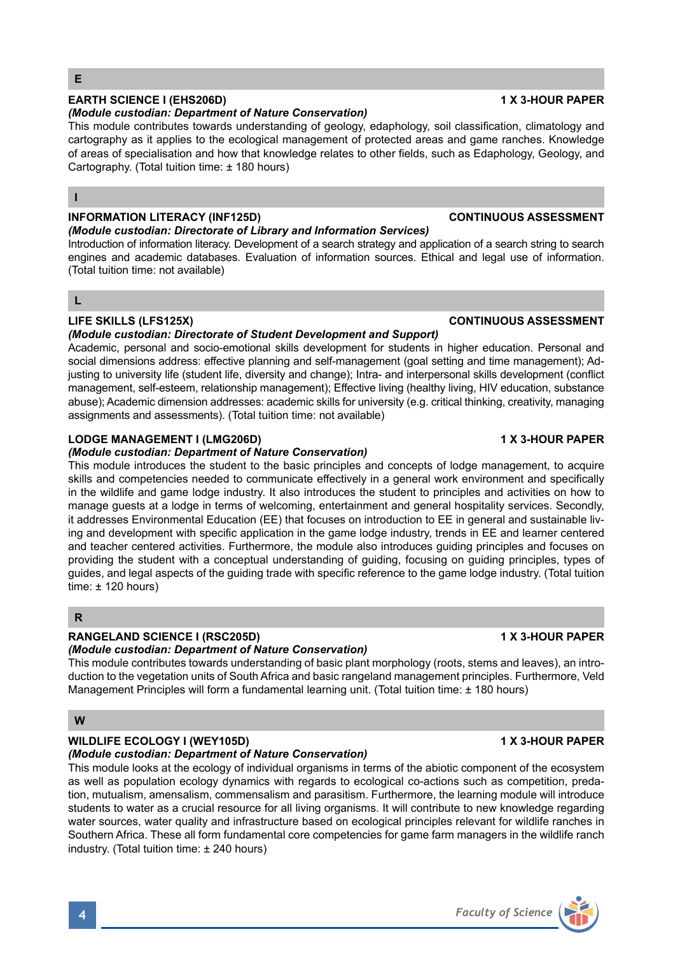# **EARTH SCIENCE I (EHS206D) 1 X 3-HOUR PAPER**

### *(Module custodian: Department of Nature Conservation)*

This module contributes towards understanding of geology, edaphology, soil classification, climatology and cartography as it applies to the ecological management of protected areas and game ranches. Knowledge of areas of specialisation and how that knowledge relates to other fields, such as Edaphology, Geology, and Cartography. (Total tuition time: ± 180 hours)

### **I**

### **INFORMATION LITERACY (INF125D) CONTINUOUS ASSESSMENT**

### *(Module custodian: Directorate of Library and Information Services)*

Introduction of information literacy. Development of a search strategy and application of a search string to search engines and academic databases. Evaluation of information sources. Ethical and legal use of information. (Total tuition time: not available)

# **L**

# **LIFE SKILLS (LFS125X) CONTINUOUS ASSESSMENT**

### *(Module custodian: Directorate of Student Development and Support)*

Academic, personal and socio-emotional skills development for students in higher education. Personal and social dimensions address: effective planning and self-management (goal setting and time management); Adjusting to university life (student life, diversity and change); Intra- and interpersonal skills development (conflict management, self-esteem, relationship management); Effective living (healthy living, HIV education, substance abuse); Academic dimension addresses: academic skills for university (e.g. critical thinking, creativity, managing assignments and assessments). (Total tuition time: not available)

# **LODGE MANAGEMENT I (LMG206D) 1 X 3-HOUR PAPER**

### *(Module custodian: Department of Nature Conservation)*

This module introduces the student to the basic principles and concepts of lodge management, to acquire skills and competencies needed to communicate effectively in a general work environment and specifically in the wildlife and game lodge industry. It also introduces the student to principles and activities on how to manage guests at a lodge in terms of welcoming, entertainment and general hospitality services. Secondly, it addresses Environmental Education (EE) that focuses on introduction to EE in general and sustainable living and development with specific application in the game lodge industry, trends in EE and learner centered and teacher centered activities. Furthermore, the module also introduces guiding principles and focuses on providing the student with a conceptual understanding of guiding, focusing on guiding principles, types of guides, and legal aspects of the guiding trade with specific reference to the game lodge industry. (Total tuition time: ± 120 hours)

### **R**

### **RANGELAND SCIENCE I (RSC205D) 1 X 3-HOUR PAPER**

### *(Module custodian: Department of Nature Conservation)*

This module contributes towards understanding of basic plant morphology (roots, stems and leaves), an introduction to the vegetation units of South Africa and basic rangeland management principles. Furthermore, Veld Management Principles will form a fundamental learning unit. (Total tuition time: ± 180 hours)

# **W**

# **WILDLIFE ECOLOGY I (WEY105D) 1 X 3-HOUR PAPER**

### *(Module custodian: Department of Nature Conservation)*

This module looks at the ecology of individual organisms in terms of the abiotic component of the ecosystem as well as population ecology dynamics with regards to ecological co-actions such as competition, predation, mutualism, amensalism, commensalism and parasitism. Furthermore, the learning module will introduce students to water as a crucial resource for all living organisms. It will contribute to new knowledge regarding water sources, water quality and infrastructure based on ecological principles relevant for wildlife ranches in Southern Africa. These all form fundamental core competencies for game farm managers in the wildlife ranch industry. (Total tuition time: ± 240 hours)